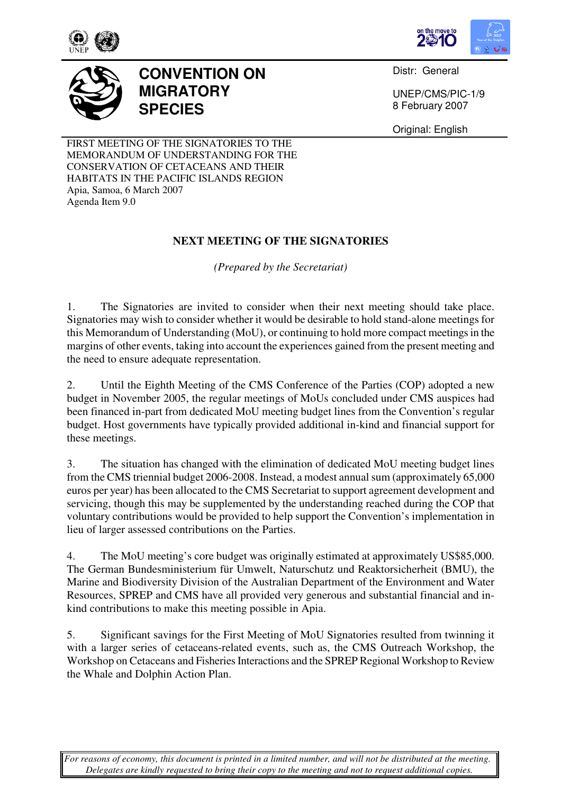





## **CONVENTION ON MIGRATORY SPECIES**

Distr: General

UNEP/CMS/PIC-1/9 8 February 2007

Original: English

FIRST MEETING OF THE SIGNATORIES TO THE MEMORANDUM OF UNDERSTANDING FOR THE CONSERVATION OF CETACEANS AND THEIR HABITATS IN THE PACIFIC ISLANDS REGION Apia, Samoa, 6 March 2007 Agenda Item 9.0

## **NEXT MEETING OF THE SIGNATORIES**

*(Prepared by the Secretariat)*

1. The Signatories are invited to consider when their next meeting should take place. Signatories may wish to consider whether it would be desirable to hold stand-alone meetings for this Memorandum of Understanding (MoU), or continuing to hold more compact meetings in the margins of other events, taking into account the experiences gained from the present meeting and the need to ensure adequate representation.

2. Until the Eighth Meeting of the CMS Conference of the Parties (COP) adopted a new budget in November 2005, the regular meetings of MoUs concluded under CMS auspices had been financed in-part from dedicated MoU meeting budget lines from the Convention's regular budget. Host governments have typically provided additional in-kind and financial support for these meetings.

3. The situation has changed with the elimination of dedicated MoU meeting budget lines from the CMS triennial budget 2006-2008. Instead, a modest annual sum (approximately 65,000 euros per year) has been allocated to the CMS Secretariat to support agreement development and servicing, though this may be supplemented by the understanding reached during the COP that voluntary contributions would be provided to help support the Convention's implementation in lieu of larger assessed contributions on the Parties.

4. The MoU meeting's core budget was originally estimated at approximately US\$85,000. The German Bundesministerium für Umwelt, Naturschutz und Reaktorsicherheit (BMU), the Marine and Biodiversity Division of the Australian Department of the Environment and Water Resources, SPREP and CMS have all provided very generous and substantial financial and inkind contributions to make this meeting possible in Apia.

5. Significant savings for the First Meeting of MoU Signatories resulted from twinning it with a larger series of cetaceans-related events, such as, the CMS Outreach Workshop, the Workshop on Cetaceans and Fisheries Interactions and the SPREP Regional Workshop to Review the Whale and Dolphin Action Plan.

*For reasons of economy, this document is printed in a limited number, and will not be distributed at the meeting. Delegates are kindly requested to bring their copy to the meeting and not to request additional copies.*